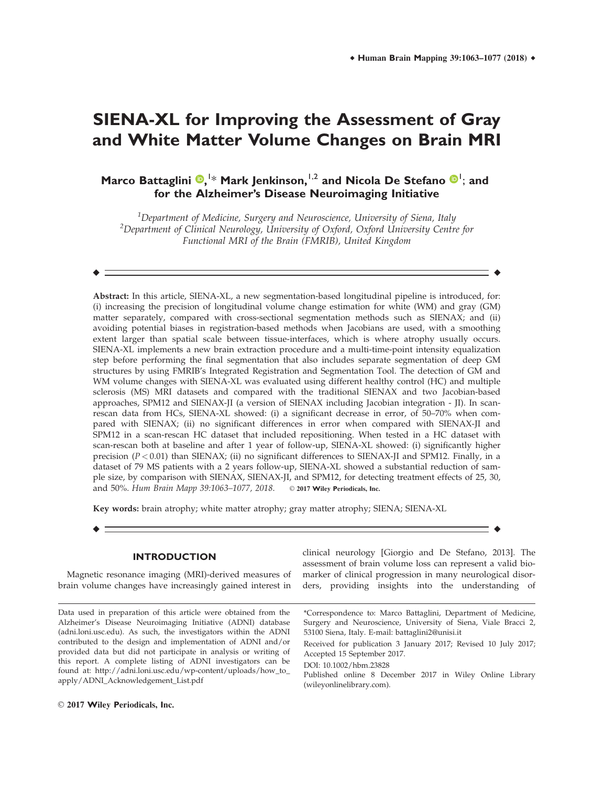# **SIENA-XL for Improving the Assessment of Gray and White Matter Volume Changes on Brain MRI**

**Marco Battaglini <sup>®</sup>, <sup>1\*</sup> Mark Jenkinson, <sup>1,2</sup> and Nicola De Stefano <sup>®</sup> 1; and for the Alzheimer's Disease Neuroimaging Initiative**

 $^{\rm 1}$ Department of Medicine, Surgery and Neuroscience, University of Siena, Italy  $^2$ Department of Clinical Neurology, University of Oxford, Oxford University Centre for Functional MRI of the Brain (FMRIB), United Kingdom

 $\bullet$  -contract to the contract of the contract of the contract of the contract of the contract of the contract of the contract of the contract of the contract of the contract of the contract of the contract of the contrac

Abstract: In this article, SIENA-XL, a new segmentation-based longitudinal pipeline is introduced, for: (i) increasing the precision of longitudinal volume change estimation for white (WM) and gray (GM) matter separately, compared with cross-sectional segmentation methods such as SIENAX; and (ii) avoiding potential biases in registration-based methods when Jacobians are used, with a smoothing extent larger than spatial scale between tissue-interfaces, which is where atrophy usually occurs. SIENA-XL implements a new brain extraction procedure and a multi-time-point intensity equalization step before performing the final segmentation that also includes separate segmentation of deep GM structures by using FMRIB's Integrated Registration and Segmentation Tool. The detection of GM and WM volume changes with SIENA-XL was evaluated using different healthy control (HC) and multiple sclerosis (MS) MRI datasets and compared with the traditional SIENAX and two Jacobian-based approaches, SPM12 and SIENAX-JI (a version of SIENAX including Jacobian integration - JI). In scanrescan data from HCs, SIENA-XL showed: (i) a significant decrease in error, of 50–70% when compared with SIENAX; (ii) no significant differences in error when compared with SIENAX-JI and SPM12 in a scan-rescan HC dataset that included repositioning. When tested in a HC dataset with scan-rescan both at baseline and after 1 year of follow-up, SIENA-XL showed: (i) significantly higher precision  $(P < 0.01)$  than SIENAX; (ii) no significant differences to SIENAX-JI and SPM12. Finally, in a dataset of 79 MS patients with a 2 years follow-up, SIENA-XL showed a substantial reduction of sample size, by comparison with SIENAX, SIENAX-JI, and SPM12, for detecting treatment effects of 25, 30, and 50%. Hum Brain Mapp 39:1063-1077, 2018. © 2017 Wiley Periodicals, Inc.

r r

Key words: brain atrophy; white matter atrophy; gray matter atrophy; SIENA; SIENA-XL

# **INTRODUCTION**

Magnetic resonance imaging (MRI)-derived measures of brain volume changes have increasingly gained interest in

Data used in preparation of this article were obtained from the Alzheimer's Disease Neuroimaging Initiative (ADNI) database (adni.loni.usc.edu). As such, the investigators within the ADNI contributed to the design and implementation of ADNI and/or provided data but did not participate in analysis or writing of this report. A complete listing of ADNI investigators can be found at: [http://adni.loni.usc.edu/wp-content/uploads/how\\_to\\_](http://adni.loni.usc.edu/wp-content/uploads/how_to_apply/ADNI_Acknowledgement_List.pdf) [apply/ADNI\\_Acknowledgement\\_List.pdf](http://adni.loni.usc.edu/wp-content/uploads/how_to_apply/ADNI_Acknowledgement_List.pdf)

clinical neurology [Giorgio and De Stefano, 2013]. The assessment of brain volume loss can represent a valid biomarker of clinical progression in many neurological disorders, providing insights into the understanding of

\*Correspondence to: Marco Battaglini, Department of Medicine, Surgery and Neuroscience, University of Siena, Viale Bracci 2, 53100 Siena, Italy. E-mail: battaglini2@unisi.it

Received for publication 3 January 2017; Revised 10 July 2017; Accepted 15 September 2017.

DOI: 10.1002/hbm.23828

Published online 8 December 2017 in Wiley Online Library (wileyonlinelibrary.com).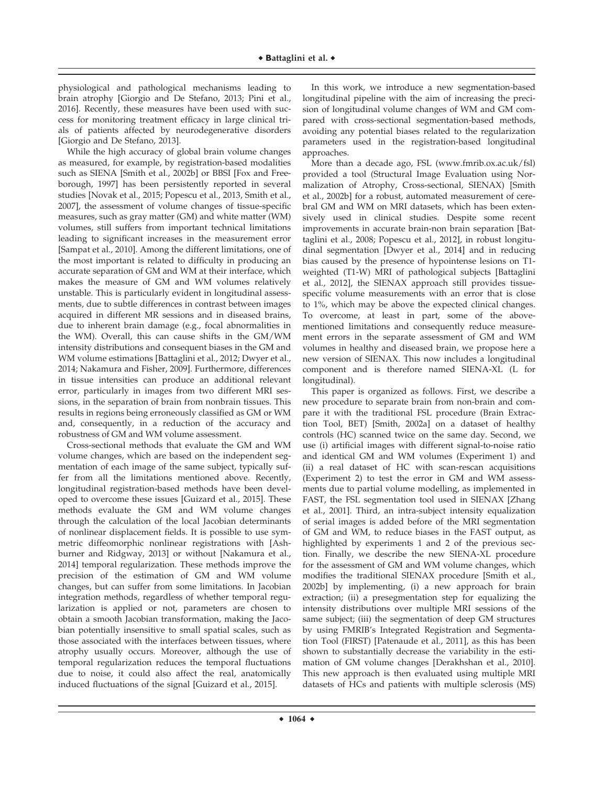physiological and pathological mechanisms leading to brain atrophy [Giorgio and De Stefano, 2013; Pini et al., 2016]. Recently, these measures have been used with success for monitoring treatment efficacy in large clinical trials of patients affected by neurodegenerative disorders [Giorgio and De Stefano, 2013].

While the high accuracy of global brain volume changes as measured, for example, by registration-based modalities such as SIENA [Smith et al., 2002b] or BBSI [Fox and Freeborough, 1997] has been persistently reported in several studies [Novak et al., 2015; Popescu et al., 2013, Smith et al., 2007], the assessment of volume changes of tissue-specific measures, such as gray matter (GM) and white matter (WM) volumes, still suffers from important technical limitations leading to significant increases in the measurement error [Sampat et al., 2010]. Among the different limitations, one of the most important is related to difficulty in producing an accurate separation of GM and WM at their interface, which makes the measure of GM and WM volumes relatively unstable. This is particularly evident in longitudinal assessments, due to subtle differences in contrast between images acquired in different MR sessions and in diseased brains, due to inherent brain damage (e.g., focal abnormalities in the WM). Overall, this can cause shifts in the GM/WM intensity distributions and consequent biases in the GM and WM volume estimations [Battaglini et al., 2012; Dwyer et al., 2014; Nakamura and Fisher, 2009]. Furthermore, differences in tissue intensities can produce an additional relevant error, particularly in images from two different MRI sessions, in the separation of brain from nonbrain tissues. This results in regions being erroneously classified as GM or WM and, consequently, in a reduction of the accuracy and robustness of GM and WM volume assessment.

Cross-sectional methods that evaluate the GM and WM volume changes, which are based on the independent segmentation of each image of the same subject, typically suffer from all the limitations mentioned above. Recently, longitudinal registration-based methods have been developed to overcome these issues [Guizard et al., 2015]. These methods evaluate the GM and WM volume changes through the calculation of the local Jacobian determinants of nonlinear displacement fields. It is possible to use symmetric diffeomorphic nonlinear registrations with [Ashburner and Ridgway, 2013] or without [Nakamura et al., 2014] temporal regularization. These methods improve the precision of the estimation of GM and WM volume changes, but can suffer from some limitations. In Jacobian integration methods, regardless of whether temporal regularization is applied or not, parameters are chosen to obtain a smooth Jacobian transformation, making the Jacobian potentially insensitive to small spatial scales, such as those associated with the interfaces between tissues, where atrophy usually occurs. Moreover, although the use of temporal regularization reduces the temporal fluctuations due to noise, it could also affect the real, anatomically induced fluctuations of the signal [Guizard et al., 2015].

In this work, we introduce a new segmentation-based longitudinal pipeline with the aim of increasing the precision of longitudinal volume changes of WM and GM compared with cross-sectional segmentation-based methods, avoiding any potential biases related to the regularization parameters used in the registration-based longitudinal approaches.

More than a decade ago, FSL [\(www.fmrib.ox.ac.uk/fsl\)](http://www.fmrib.ox.ac.uk/fsl) provided a tool (Structural Image Evaluation using Normalization of Atrophy, Cross-sectional, SIENAX) [Smith et al., 2002b] for a robust, automated measurement of cerebral GM and WM on MRI datasets, which has been extensively used in clinical studies. Despite some recent improvements in accurate brain-non brain separation [Battaglini et al., 2008; Popescu et al., 2012], in robust longitudinal segmentation [Dwyer et al., 2014] and in reducing bias caused by the presence of hypointense lesions on T1 weighted (T1-W) MRI of pathological subjects [Battaglini et al., 2012], the SIENAX approach still provides tissuespecific volume measurements with an error that is close to 1%, which may be above the expected clinical changes. To overcome, at least in part, some of the abovementioned limitations and consequently reduce measurement errors in the separate assessment of GM and WM volumes in healthy and diseased brain, we propose here a new version of SIENAX. This now includes a longitudinal component and is therefore named SIENA-XL (L for longitudinal).

This paper is organized as follows. First, we describe a new procedure to separate brain from non-brain and compare it with the traditional FSL procedure (Brain Extraction Tool, BET) [Smith, 2002a] on a dataset of healthy controls (HC) scanned twice on the same day. Second, we use (i) artificial images with different signal-to-noise ratio and identical GM and WM volumes (Experiment 1) and (ii) a real dataset of HC with scan-rescan acquisitions (Experiment 2) to test the error in GM and WM assessments due to partial volume modelling, as implemented in FAST, the FSL segmentation tool used in SIENAX [Zhang et al., 2001]. Third, an intra-subject intensity equalization of serial images is added before of the MRI segmentation of GM and WM, to reduce biases in the FAST output, as highlighted by experiments 1 and 2 of the previous section. Finally, we describe the new SIENA-XL procedure for the assessment of GM and WM volume changes, which modifies the traditional SIENAX procedure [Smith et al., 2002b] by implementing, (i) a new approach for brain extraction; (ii) a presegmentation step for equalizing the intensity distributions over multiple MRI sessions of the same subject; (iii) the segmentation of deep GM structures by using FMRIB's Integrated Registration and Segmentation Tool (FIRST) [Patenaude et al., 2011], as this has been shown to substantially decrease the variability in the estimation of GM volume changes [Derakhshan et al., 2010]. This new approach is then evaluated using multiple MRI datasets of HCs and patients with multiple sclerosis (MS)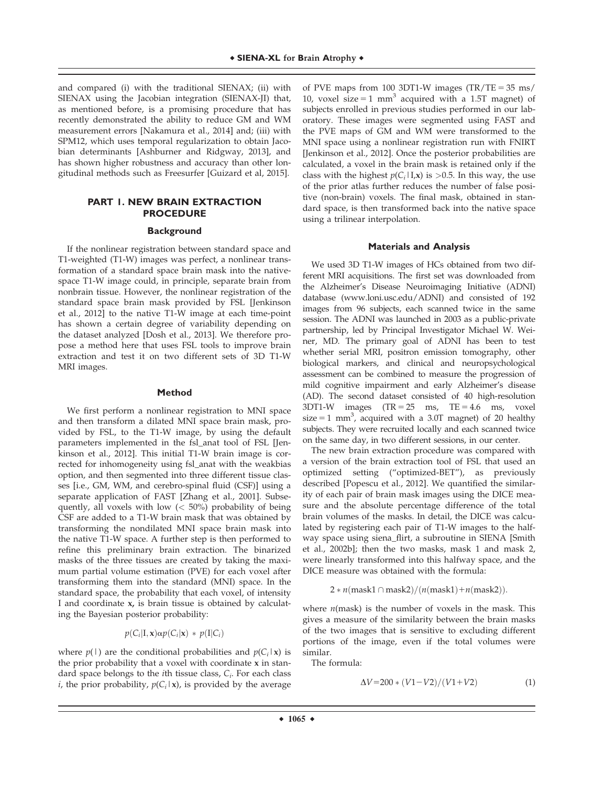and compared (i) with the traditional SIENAX; (ii) with SIENAX using the Jacobian integration (SIENAX-JI) that, as mentioned before, is a promising procedure that has recently demonstrated the ability to reduce GM and WM measurement errors [Nakamura et al., 2014] and; (iii) with SPM12, which uses temporal regularization to obtain Jacobian determinants [Ashburner and Ridgway, 2013], and has shown higher robustness and accuracy than other longitudinal methods such as Freesurfer [Guizard et al, 2015].

# **PART 1. NEW BRAIN EXTRACTION PROCEDURE**

#### **Background**

If the nonlinear registration between standard space and T1-weighted (T1-W) images was perfect, a nonlinear transformation of a standard space brain mask into the nativespace T1-W image could, in principle, separate brain from nonbrain tissue. However, the nonlinear registration of the standard space brain mask provided by FSL [Jenkinson et al., 2012] to the native T1-W image at each time-point has shown a certain degree of variability depending on the dataset analyzed [Dosh et al., 2013]. We therefore propose a method here that uses FSL tools to improve brain extraction and test it on two different sets of 3D T1-W MRI images.

## **Method**

We first perform a nonlinear registration to MNI space and then transform a dilated MNI space brain mask, provided by FSL, to the T1-W image, by using the default parameters implemented in the fsl\_anat tool of FSL [Jenkinson et al., 2012]. This initial T1-W brain image is corrected for inhomogeneity using fsl\_anat with the weakbias option, and then segmented into three different tissue classes [i.e., GM, WM, and cerebro-spinal fluid (CSF)] using a separate application of FAST [Zhang et al., 2001]. Subsequently, all voxels with low  $(< 50\%)$  probability of being CSF are added to a T1-W brain mask that was obtained by transforming the nondilated MNI space brain mask into the native T1-W space. A further step is then performed to refine this preliminary brain extraction. The binarized masks of the three tissues are created by taking the maximum partial volume estimation (PVE) for each voxel after transforming them into the standard (MNI) space. In the standard space, the probability that each voxel, of intensity I and coordinate x, is brain tissue is obtained by calculating the Bayesian posterior probability:

$$
p(C_i|\mathbf{I}, \mathbf{x})\alpha p(C_i|\mathbf{x}) \, * \, p(\mathbf{I}|C_i)
$$

where  $p(1)$  are the conditional probabilities and  $p(C_i|\mathbf{x})$  is the prior probability that a voxel with coordinate x in standard space belongs to the *i*th tissue class,  $C_i$ . For each class *i*, the prior probability,  $p(C_i|x)$ , is provided by the average of PVE maps from 100 3DT1-W images  $(TR/TE = 35 \text{ ms})$ 10, voxel size = 1 mm<sup>3</sup> acquired with a 1.5T magnet) of subjects enrolled in previous studies performed in our laboratory. These images were segmented using FAST and the PVE maps of GM and WM were transformed to the MNI space using a nonlinear registration run with FNIRT [Jenkinson et al., 2012]. Once the posterior probabilities are calculated, a voxel in the brain mask is retained only if the class with the highest  $p(C_i|I,x)$  is >0.5. In this way, the use of the prior atlas further reduces the number of false positive (non-brain) voxels. The final mask, obtained in standard space, is then transformed back into the native space using a trilinear interpolation.

### **Materials and Analysis**

We used 3D T1-W images of HCs obtained from two different MRI acquisitions. The first set was downloaded from the Alzheimer's Disease Neuroimaging Initiative (ADNI) database ([www.loni.usc.edu/ADNI\)](http://www.loni.usc.edu/ADNI) and consisted of 192 images from 96 subjects, each scanned twice in the same session. The ADNI was launched in 2003 as a public-private partnership, led by Principal Investigator Michael W. Weiner, MD. The primary goal of ADNI has been to test whether serial MRI, positron emission tomography, other biological markers, and clinical and neuropsychological assessment can be combined to measure the progression of mild cognitive impairment and early Alzheimer's disease (AD). The second dataset consisted of 40 high-resolution  $3DT1-W$  images  $(TR = 25$  ms,  $TE = 4.6$  ms, voxel size = 1 mm<sup>3</sup>, acquired with a 3.0T magnet) of 20 healthy subjects. They were recruited locally and each scanned twice on the same day, in two different sessions, in our center.

The new brain extraction procedure was compared with a version of the brain extraction tool of FSL that used an optimized setting ("optimized-BET"), as previously described [Popescu et al., 2012]. We quantified the similarity of each pair of brain mask images using the DICE measure and the absolute percentage difference of the total brain volumes of the masks. In detail, the DICE was calculated by registering each pair of T1-W images to the halfway space using siena\_flirt, a subroutine in SIENA [Smith et al., 2002b]; then the two masks, mask 1 and mask 2, were linearly transformed into this halfway space, and the DICE measure was obtained with the formula:

$$
2 * n(mask1 \cap mask2)/(n(mask1) + n(mask2)).
$$

where  $n$ (mask) is the number of voxels in the mask. This gives a measure of the similarity between the brain masks of the two images that is sensitive to excluding different portions of the image, even if the total volumes were similar.

The formula:

$$
\Delta V = 200 * (V1 - V2) / (V1 + V2) \tag{1}
$$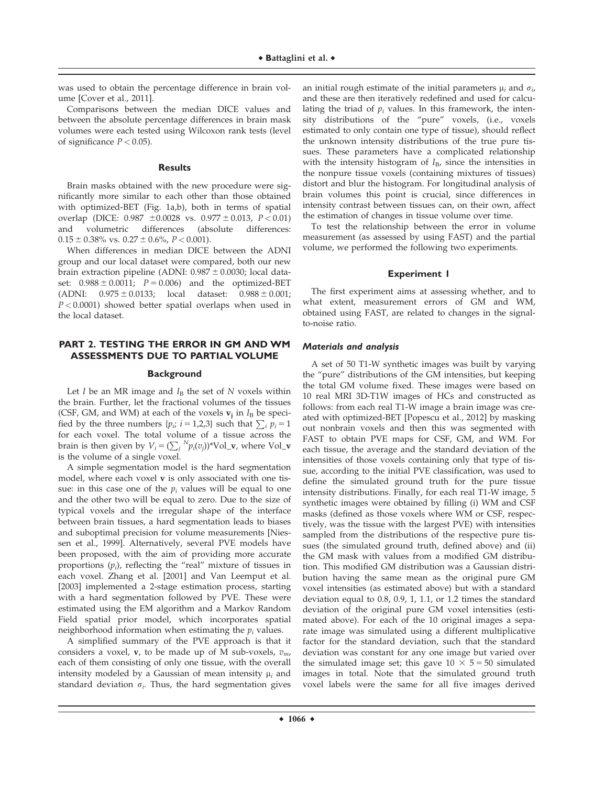was used to obtain the percentage difference in brain volume [Cover et al., 2011].

Comparisons between the median DICE values and between the absolute percentage differences in brain mask volumes were each tested using Wilcoxon rank tests (level of significance  $P < 0.05$ ).

## **Results**

Brain masks obtained with the new procedure were significantly more similar to each other than those obtained with optimized-BET (Fig. 1a,b), both in terms of spatial overlap (DICE:  $0.987 \pm 0.0028$  vs.  $0.977 \pm 0.013$ ,  $P < 0.01$ ) and volumetric differences (absolute differences:  $0.15 \pm 0.38\%$  vs.  $0.27 \pm 0.6\%$ ,  $P < 0.001$ ).

When differences in median DICE between the ADNI group and our local dataset were compared, both our new brain extraction pipeline (ADNI:  $0.987 \pm 0.0030$ ; local dataset:  $0.988 \pm 0.0011$ ;  $P = 0.006$ ) and the optimized-BET (ADNI:  $0.975 \pm 0.0133$ ; local dataset:  $0.988 \pm 0.001$ ;  $P < 0.0001$ ) showed better spatial overlaps when used in the local dataset.

# **PART 2. TESTING THE ERROR IN GM AND WM ASSESSMENTS DUE TO PARTIAL VOLUME**

#### **Background**

Let I be an MR image and  $I_B$  the set of N voxels within the brain. Further, let the fractional volumes of the tissues (CSF, GM, and WM) at each of the voxels  $v_i$  in  $I_B$  be specified by the three numbers  $\{p_i; i = 1,2,3\}$  such that  $\sum_i p_i = 1$ for each voxel. The total volume of a tissue across the brain is then given by  $V_i = (\sum_j N_i(v_j))^* \text{Vol}_v$ , where Vol<sub>-</sub>v is the volume of a single voxel.

A simple segmentation model is the hard segmentation model, where each voxel v is only associated with one tissue: in this case one of the  $p_i$  values will be equal to one and the other two will be equal to zero. Due to the size of typical voxels and the irregular shape of the interface between brain tissues, a hard segmentation leads to biases and suboptimal precision for volume measurements [Niessen et al., 1999]. Alternatively, several PVE models have been proposed, with the aim of providing more accurate proportions  $(p_i)$ , reflecting the "real" mixture of tissues in each voxel. Zhang et al. [2001] and Van Leemput et al. [2003] implemented a 2-stage estimation process, starting with a hard segmentation followed by PVE. These were estimated using the EM algorithm and a Markov Random Field spatial prior model, which incorporates spatial neighborhood information when estimating the  $p_i$  values.

A simplified summary of the PVE approach is that it considers a voxel,  $\mathbf{v}$ , to be made up of M sub-voxels,  $v_m$ , each of them consisting of only one tissue, with the overall intensity modeled by a Gaussian of mean intensity  $\mu_i$  and standard deviation  $\sigma_i$ . Thus, the hard segmentation gives

an initial rough estimate of the initial parameters  $\mu_i$  and  $\sigma_i$ , and these are then iteratively redefined and used for calculating the triad of  $p_i$  values. In this framework, the intensity distributions of the "pure" voxels, (i.e., voxels estimated to only contain one type of tissue), should reflect the unknown intensity distributions of the true pure tissues. These parameters have a complicated relationship with the intensity histogram of  $I_B$ , since the intensities in the nonpure tissue voxels (containing mixtures of tissues) distort and blur the histogram. For longitudinal analysis of brain volumes this point is crucial, since differences in intensity contrast between tissues can, on their own, affect the estimation of changes in tissue volume over time.

To test the relationship between the error in volume measurement (as assessed by using FAST) and the partial volume, we performed the following two experiments.

## **Experiment 1**

The first experiment aims at assessing whether, and to what extent, measurement errors of GM and WM, obtained using FAST, are related to changes in the signalto-noise ratio.

## Materials and analysis

A set of 50 T1-W synthetic images was built by varying the "pure" distributions of the GM intensities, but keeping the total GM volume fixed. These images were based on 10 real MRI 3D-T1W images of HCs and constructed as follows: from each real T1-W image a brain image was created with optimized-BET [Popescu et al., 2012] by masking out nonbrain voxels and then this was segmented with FAST to obtain PVE maps for CSF, GM, and WM. For each tissue, the average and the standard deviation of the intensities of those voxels containing only that type of tissue, according to the initial PVE classification, was used to define the simulated ground truth for the pure tissue intensity distributions. Finally, for each real T1-W image, 5 synthetic images were obtained by filling (i) WM and CSF masks (defined as those voxels where WM or CSF, respectively, was the tissue with the largest PVE) with intensities sampled from the distributions of the respective pure tissues (the simulated ground truth, defined above) and (ii) the GM mask with values from a modified GM distribution. This modified GM distribution was a Gaussian distribution having the same mean as the original pure GM voxel intensities (as estimated above) but with a standard deviation equal to 0.8, 0.9, 1, 1.1, or 1.2 times the standard deviation of the original pure GM voxel intensities (estimated above). For each of the 10 original images a separate image was simulated using a different multiplicative factor for the standard deviation, such that the standard deviation was constant for any one image but varied over the simulated image set; this gave  $10 \times 5 = 50$  simulated images in total. Note that the simulated ground truth voxel labels were the same for all five images derived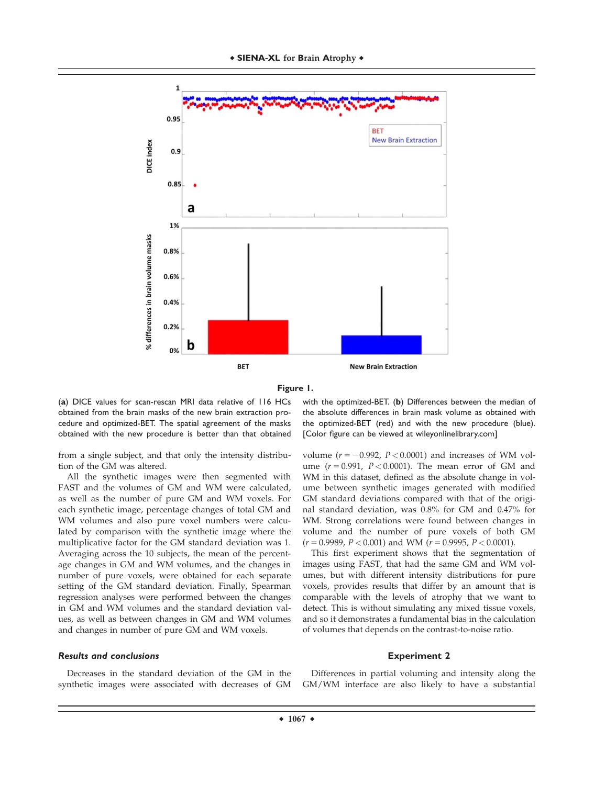



(**a**) DICE values for scan-rescan MRI data relative of 116 HCs obtained from the brain masks of the new brain extraction procedure and optimized-BET. The spatial agreement of the masks obtained with the new procedure is better than that obtained

from a single subject, and that only the intensity distribution of the GM was altered.

All the synthetic images were then segmented with FAST and the volumes of GM and WM were calculated, as well as the number of pure GM and WM voxels. For each synthetic image, percentage changes of total GM and WM volumes and also pure voxel numbers were calculated by comparison with the synthetic image where the multiplicative factor for the GM standard deviation was 1. Averaging across the 10 subjects, the mean of the percentage changes in GM and WM volumes, and the changes in number of pure voxels, were obtained for each separate setting of the GM standard deviation. Finally, Spearman regression analyses were performed between the changes in GM and WM volumes and the standard deviation values, as well as between changes in GM and WM volumes and changes in number of pure GM and WM voxels.

## Results and conclusions

Decreases in the standard deviation of the GM in the synthetic images were associated with decreases of GM with the optimized-BET. (**b**) Differences between the median of the absolute differences in brain mask volume as obtained with the optimized-BET (red) and with the new procedure (blue). [Color figure can be viewed at [wileyonlinelibrary.com\]](http://wileyonlinelibrary.com)

volume ( $r = -0.992$ ,  $P < 0.0001$ ) and increases of WM volume  $(r = 0.991, P < 0.0001)$ . The mean error of GM and WM in this dataset, defined as the absolute change in volume between synthetic images generated with modified GM standard deviations compared with that of the original standard deviation, was 0.8% for GM and 0.47% for WM. Strong correlations were found between changes in volume and the number of pure voxels of both GM  $(r = 0.9989, P < 0.001)$  and WM  $(r = 0.9995, P < 0.0001)$ .

This first experiment shows that the segmentation of images using FAST, that had the same GM and WM volumes, but with different intensity distributions for pure voxels, provides results that differ by an amount that is comparable with the levels of atrophy that we want to detect. This is without simulating any mixed tissue voxels, and so it demonstrates a fundamental bias in the calculation of volumes that depends on the contrast-to-noise ratio.

#### **Experiment 2**

Differences in partial voluming and intensity along the GM/WM interface are also likely to have a substantial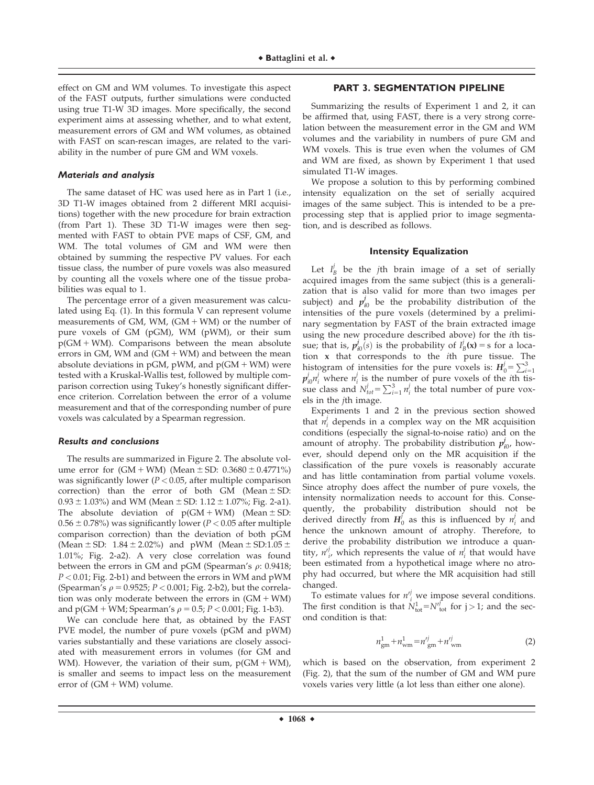effect on GM and WM volumes. To investigate this aspect of the FAST outputs, further simulations were conducted using true T1-W 3D images. More specifically, the second experiment aims at assessing whether, and to what extent, measurement errors of GM and WM volumes, as obtained with FAST on scan-rescan images, are related to the variability in the number of pure GM and WM voxels.

## Materials and analysis

The same dataset of HC was used here as in Part 1 (i.e., 3D T1-W images obtained from 2 different MRI acquisitions) together with the new procedure for brain extraction (from Part 1). These 3D T1-W images were then segmented with FAST to obtain PVE maps of CSF, GM, and WM. The total volumes of GM and WM were then obtained by summing the respective PV values. For each tissue class, the number of pure voxels was also measured by counting all the voxels where one of the tissue probabilities was equal to 1.

The percentage error of a given measurement was calculated using Eq. (1). In this formula V can represent volume measurements of GM, WM,  $(GM + WM)$  or the number of pure voxels of GM (pGM), WM (pWM), or their sum  $p(GM + WM)$ . Comparisons between the mean absolute errors in GM, WM and  $(GM + WM)$  and between the mean absolute deviations in pGM, pWM, and  $p(GM + WM)$  were tested with a Kruskal-Wallis test, followed by multiple comparison correction using Tukey's honestly significant difference criterion. Correlation between the error of a volume measurement and that of the corresponding number of pure voxels was calculated by a Spearman regression.

#### Results and conclusions

The results are summarized in Figure 2. The absolute volume error for  $(GM + WM)$  (Mean  $\pm$  SD: 0.3680  $\pm$  0.4771%) was significantly lower ( $P < 0.05$ , after multiple comparison correction) than the error of both GM (Mean  $\pm$  SD:  $0.93 \pm 1.03\%$ ) and WM (Mean  $\pm$  SD:  $1.12 \pm 1.07\%$ ; Fig. 2-a1). The absolute deviation of  $p(GM + WM)$  (Mean  $\pm SD$ :  $0.56 \pm 0.78$ %) was significantly lower ( $P < 0.05$  after multiple comparison correction) than the deviation of both pGM (Mean  $\pm$  SD: 1.84  $\pm$  2.02%) and pWM (Mean  $\pm$  SD:1.05  $\pm$ 1.01%; Fig. 2-a2). A very close correlation was found between the errors in GM and pGM (Spearman's  $\rho$ : 0.9418;  $P < 0.01$ ; Fig. 2-b1) and between the errors in WM and pWM (Spearman's  $\rho = 0.9525$ ;  $P < 0.001$ ; Fig. 2-b2), but the correlation was only moderate between the errors in  $(GM + WM)$ and  $p(GM + WM)$ ; Spearman's  $\rho = 0.5$ ;  $P < 0.001$ ; Fig. 1-b3).

We can conclude here that, as obtained by the FAST PVE model, the number of pure voxels (pGM and pWM) varies substantially and these variations are closely associated with measurement errors in volumes (for GM and WM). However, the variation of their sum,  $p(GM + WM)$ , is smaller and seems to impact less on the measurement error of  $(GM + WM)$  volume.

#### **PART 3. SEGMENTATION PIPELINE**

Summarizing the results of Experiment 1 and 2, it can be affirmed that, using FAST, there is a very strong correlation between the measurement error in the GM and WM volumes and the variability in numbers of pure GM and WM voxels. This is true even when the volumes of GM and WM are fixed, as shown by Experiment 1 that used simulated T1-W images.

We propose a solution to this by performing combined intensity equalization on the set of serially acquired images of the same subject. This is intended to be a preprocessing step that is applied prior to image segmentation, and is described as follows.

#### **Intensity Equalization**

Let  $I_B^j$  be the jth brain image of a set of serially acquired images from the same subject (this is a generalization that is also valid for more than two images per subject) and  $p_{i0}^{j}$  be the probability distribution of the intensities of the pure voxels (determined by a preliminary segmentation by FAST of the brain extracted image using the new procedure described above) for the ith tissue; that is,  $p_{i0}^j(\epsilon)$  is the probability of  $I^j_B(\mathbf{x}) = s$  for a location x that corresponds to the ith pure tissue. The histogram of intensities for the pure voxels is:  $H_0 = \sum_{i=1}^{3}$  $p_{i0}^j n_i^j$  where  $n_i^j$  is the number of pure voxels of the *i*th tissue class and  $N_{tot}^j = \sum_{i=1}^3 n_i^j$  the total number of pure voxels in the jth image.

Experiments 1 and 2 in the previous section showed that  $n_i^j$  depends in a complex way on the MR acquisition conditions (especially the signal-to-noise ratio) and on the amount of atrophy. The probability distribution  $p_{i0}^j$ , however, should depend only on the MR acquisition if the classification of the pure voxels is reasonably accurate and has little contamination from partial volume voxels. Since atrophy does affect the number of pure voxels, the intensity normalization needs to account for this. Consequently, the probability distribution should not be derived directly from  $H_0^j$  as this is influenced by  $n_i^j$  and hence the unknown amount of atrophy. Therefore, to derive the probability distribution we introduce a quantity,  $n^j$ , which represents the value of  $n^j$  that would have been estimated from a hypothetical image where no atrophy had occurred, but where the MR acquisition had still changed.

To estimate values for  $n_i^{j}$  we impose several conditions. The first condition is that  $\dot{N}_{\text{tot}}^1 = N_{\text{tot}}^{j}$  for  $j > 1$ ; and the second condition is that:

$$
n_{\rm gm}^1 + n_{\rm wm}^1 = n_{\rm gm}^{ij} + n_{\rm wm}^{ij} \tag{2}
$$

which is based on the observation, from experiment 2 (Fig. 2), that the sum of the number of GM and WM pure voxels varies very little (a lot less than either one alone).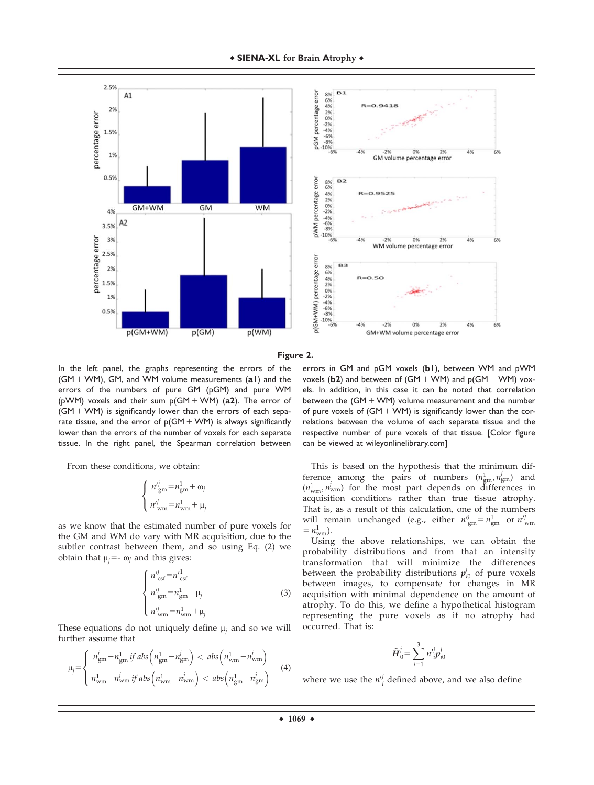



**Figure 2.**

In the left panel, the graphs representing the errors of the  $(GM + WM)$ , GM, and WM volume measurements  $(al)$  and the errors of the numbers of pure GM (pGM) and pure WM (pWM) voxels and their sum  $p(GM + WM)$  (a2). The error of  $(GM + WM)$  is significantly lower than the errors of each separate tissue, and the error of  $p(GM + WM)$  is always significantly lower than the errors of the number of voxels for each separate tissue. In the right panel, the Spearman correlation between

From these conditions, we obtain:

$$
\begin{cases}\nn'_{\text{gm}} = n_{\text{gm}}^1 + \omega_j \\
n'_{\text{wm}} = n_{\text{wm}}^1 + \mu_j\n\end{cases}
$$

as we know that the estimated number of pure voxels for the GM and WM do vary with MR acquisition, due to the subtler contrast between them, and so using Eq. (2) we obtain that  $\mu_j = -\omega_j$  and this gives:

$$
\begin{cases}\n n'^{j}_{\text{csf}} = n'^{1}_{\text{csf}} \\
n'^{j}_{\text{gm}} = n^{1}_{\text{gm}} - \mu_{j} \\
n'^{j}_{\text{wm}} = n^{1}_{\text{wm}} + \mu_{j}\n\end{cases} (3)
$$

These equations do not uniquely define  $\mu_i$  and so we will further assume that

$$
\mu_{j} = \begin{cases}\n n_{\text{gm}}^{j} - n_{\text{gm}}^{1} \, \text{if} \, \text{abs}\left(n_{\text{gm}}^{1} - n_{\text{gm}}^{j}\right) < \, \text{abs}\left(n_{\text{wm}}^{1} - n_{\text{wm}}^{j}\right) \\
 n_{\text{wm}}^{1} - n_{\text{wm}}^{j} \, \text{if} \, \text{abs}\left(n_{\text{wm}}^{1} - n_{\text{wm}}^{j}\right) < \, \text{abs}\left(n_{\text{gm}}^{1} - n_{\text{gm}}^{j}\right)\n\end{cases} \tag{4}
$$

errors in GM and pGM voxels (**b1**), between WM and pWM voxels ( $b2$ ) and between of ( $GM + WM$ ) and  $p(GM + WM)$  voxels. In addition, in this case it can be noted that correlation between the  $(GM + WM)$  volume measurement and the number of pure voxels of  $(GM + WM)$  is significantly lower than the correlations between the volume of each separate tissue and the respective number of pure voxels of that tissue. [Color figure can be viewed at [wileyonlinelibrary.com](http://wileyonlinelibrary.com)]

This is based on the hypothesis that the minimum difference among the pairs of numbers  $(n_{\text{gm}}^1, n_{\text{gm}}^j)$  and  $(n_{\text{wm}}^1, n_{\text{wm}}^j)$  for the most part depends on differences in acquisition conditions rather than true tissue atrophy. That is, as a result of this calculation, one of the numbers will remain unchanged (e.g., either  $n'^j_{\text{gm}} = n_{\text{gm}}^1$  or  $n'^j_{\text{wm}}$  $= n_{\text{wm}}^1$ .

Using the above relationships, we can obtain the probability distributions and from that an intensity transformation that will minimize the differences between the probability distributions  $p_{i0}^j$  of pure voxels between images, to compensate for changes in MR acquisition with minimal dependence on the amount of atrophy. To do this, we define a hypothetical histogram representing the pure voxels as if no atrophy had occurred. That is:

$$
\tilde{\bm{H}}_0^j = \sum_{i=1}^3 n'^j_{\ i} \bm{p}^j_{i0}
$$

where we use the  $n_i^{j}$  defined above, and we also define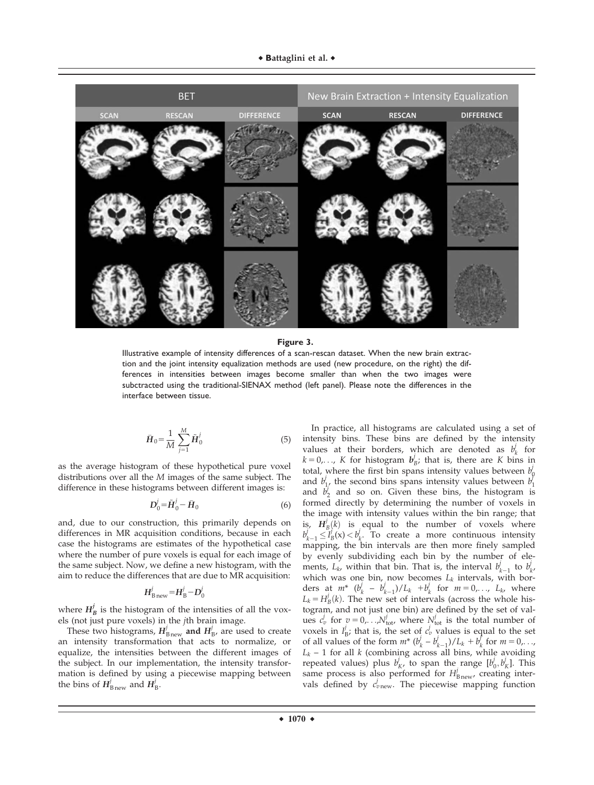

**Figure 3.**

Illustrative example of intensity differences of a scan-rescan dataset. When the new brain extraction and the joint intensity equalization methods are used (new procedure, on the right) the differences in intensities between images become smaller than when the two images were subctracted using the traditional-SIENAX method (left panel). Please note the differences in the interface between tissue.

$$
\bar{H}_0 = \frac{1}{M} \sum_{j=1}^{M} \tilde{H}_0^j
$$
 (5)

as the average histogram of these hypothetical pure voxel distributions over all the M images of the same subject. The difference in these histograms between different images is:

$$
\mathbf{D}_0^j = \tilde{\mathbf{H}}_0^j - \bar{\mathbf{H}}_0 \tag{6}
$$

and, due to our construction, this primarily depends on differences in MR acquisition conditions, because in each case the histograms are estimates of the hypothetical case where the number of pure voxels is equal for each image of the same subject. Now, we define a new histogram, with the aim to reduce the differences that are due to MR acquisition:

$$
H_{\mathrm{Bnew}}^j\!=\!H_{\mathrm{B}}^j\!-\!D_0^j
$$

where  $H^j_B$  is the histogram of the intensities of all the voxels (not just pure voxels) in the jth brain image.

These two histograms,  $H_{\text{Bnew}}^j$  and  $H_{\text{B}}^j$ , are used to create an intensity transformation that acts to normalize, or equalize, the intensities between the different images of the subject. In our implementation, the intensity transformation is defined by using a piecewise mapping between the bins of  $H_{\text{Bnew}}^j$  and  $H_{\text{B}}^j$ .

In practice, all histograms are calculated using a set of intensity bins. These bins are defined by the intensity values at their borders, which are denoted as  $b_k^j$  for  $k = 0, \ldots, K$  for histogram  $b_B^j$ ; that is, there are K bins in total, where the first bin spans intensity values between  $b_0^j$ and  $b_1^j$ , the second bins spans intensity values between  $b_1^j$ and  $\vec{b}_2^j$  and so on. Given these bins, the histogram is formed directly by determining the number of voxels in the image with intensity values within the bin range; that is,  $H_B^j(k)$  is equal to the number of voxels where  $b_{k-1}^{j} \le I_B^j(x) < b_k^j$ . To create a more continuous intensity mapping, the bin intervals are then more finely sampled by evenly subdividing each bin by the number of elements,  $L_k$ , within that bin. That is, the interval  $b_{k-1}^j$  to  $b_{k'}^j$ which was one bin, now becomes  $L_k$  intervals, with borders at  $m^*$   $(b_k^j - b_{k-1}^j)/L_k + b_k^j$  for  $m = 0, \ldots, L_k$ , where  $L_k = H^j_B(k)$ . The new set of intervals (across the whole histogram, and not just one bin) are defined by the set of values  $c_v^j$  for  $v = 0, \ldots, N_{\text{tot}}^j$ , where  $N_{\text{tot}}^j$  is the total number of voxels in  $I_B^j$ ; that is, the set of  $c_v^j$  values is equal to the set of all values of the form  $m^*$   $(b_k^j - b_{k-1}^j)/L_k + b_k^j$  for  $m = 0, \dots,$  $L_k$  – 1 for all k (combining across all bins, while avoiding repeated values) plus  $b^j_K$ , to span the range  $[b^j_0, b^j_K]$ . This same process is also performed for  $H_{\text{Bnew}}$ , creating intervals defined by  $c_{v \text{new}}^j$ . The piecewise mapping function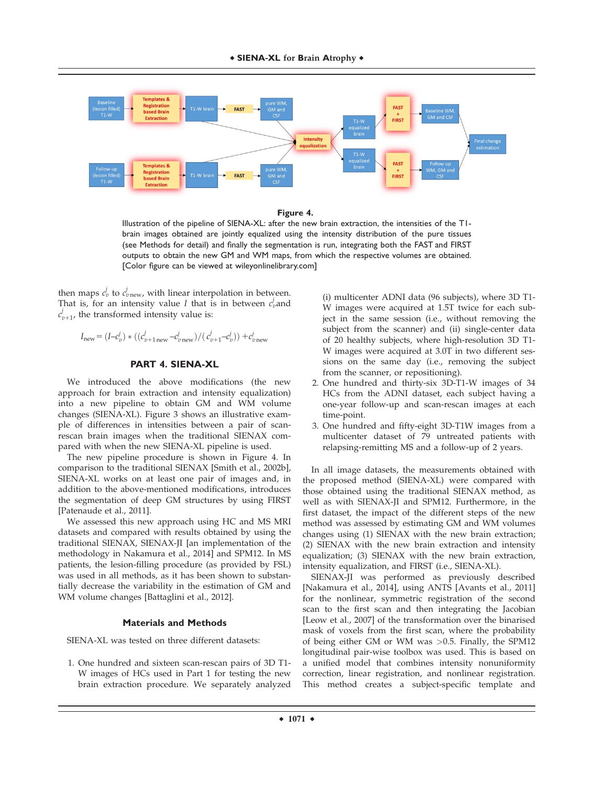

#### **Figure 4.**

Illustration of the pipeline of SIENA-XL: after the new brain extraction, the intensities of the T1 brain images obtained are jointly equalized using the intensity distribution of the pure tissues (see Methods for detail) and finally the segmentation is run, integrating both the FAST and FIRST outputs to obtain the new GM and WM maps, from which the respective volumes are obtained. [Color figure can be viewed at [wileyonlinelibrary.com\]](http://wileyonlinelibrary.com)

then maps  $c_v^j$  to  $c_{v \text{new}}^j$ , with linear interpolation in between. That is, for an intensity value I that is in between  $c_v^j$  and  $c_{v+1}^j$ , the transformed intensity value is:

$$
I_{\text{new}} = (I - c_v^j) * ((c_{v+1 \text{ new}}^j - c_{v \text{ new}}^j) / (c_{v+1}^j - c_v^j)) + c_{v \text{ new}}^j
$$

# **PART 4. SIENA-XL**

We introduced the above modifications (the new approach for brain extraction and intensity equalization) into a new pipeline to obtain GM and WM volume changes (SIENA-XL). Figure 3 shows an illustrative example of differences in intensities between a pair of scanrescan brain images when the traditional SIENAX compared with when the new SIENA-XL pipeline is used.

The new pipeline procedure is shown in Figure 4. In comparison to the traditional SIENAX [Smith et al., 2002b], SIENA-XL works on at least one pair of images and, in addition to the above-mentioned modifications, introduces the segmentation of deep GM structures by using FIRST [Patenaude et al., 2011].

We assessed this new approach using HC and MS MRI datasets and compared with results obtained by using the traditional SIENAX, SIENAX-JI [an implementation of the methodology in Nakamura et al., 2014] and SPM12. In MS patients, the lesion-filling procedure (as provided by FSL) was used in all methods, as it has been shown to substantially decrease the variability in the estimation of GM and WM volume changes [Battaglini et al., 2012].

## **Materials and Methods**

SIENA-XL was tested on three different datasets:

1. One hundred and sixteen scan-rescan pairs of 3D T1- W images of HCs used in Part 1 for testing the new brain extraction procedure. We separately analyzed (i) multicenter ADNI data (96 subjects), where 3D T1- W images were acquired at 1.5T twice for each subject in the same session (i.e., without removing the subject from the scanner) and (ii) single-center data of 20 healthy subjects, where high-resolution 3D T1- W images were acquired at 3.0T in two different sessions on the same day (i.e., removing the subject from the scanner, or repositioning).

- 2. One hundred and thirty-six 3D-T1-W images of 34 HCs from the ADNI dataset, each subject having a one-year follow-up and scan-rescan images at each time-point.
- 3. One hundred and fifty-eight 3D-T1W images from a multicenter dataset of 79 untreated patients with relapsing-remitting MS and a follow-up of 2 years.

In all image datasets, the measurements obtained with the proposed method (SIENA-XL) were compared with those obtained using the traditional SIENAX method, as well as with SIENAX-JI and SPM12. Furthermore, in the first dataset, the impact of the different steps of the new method was assessed by estimating GM and WM volumes changes using (1) SIENAX with the new brain extraction; (2) SIENAX with the new brain extraction and intensity equalization; (3) SIENAX with the new brain extraction, intensity equalization, and FIRST (i.e., SIENA-XL).

SIENAX-JI was performed as previously described [Nakamura et al., 2014], using ANTS [Avants et al., 2011] for the nonlinear, symmetric registration of the second scan to the first scan and then integrating the Jacobian [Leow et al., 2007] of the transformation over the binarised mask of voxels from the first scan, where the probability of being either GM or WM was >0.5. Finally, the SPM12 longitudinal pair-wise toolbox was used. This is based on a unified model that combines intensity nonuniformity correction, linear registration, and nonlinear registration. This method creates a subject-specific template and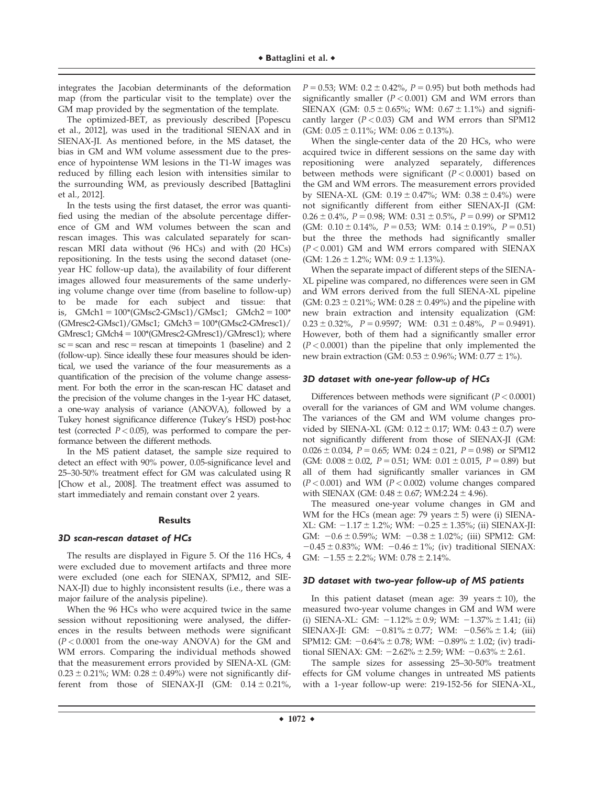integrates the Jacobian determinants of the deformation map (from the particular visit to the template) over the GM map provided by the segmentation of the template.

The optimized-BET, as previously described [Popescu et al., 2012], was used in the traditional SIENAX and in SIENAX-JI. As mentioned before, in the MS dataset, the bias in GM and WM volume assessment due to the presence of hypointense WM lesions in the T1-W images was reduced by filling each lesion with intensities similar to the surrounding WM, as previously described [Battaglini et al., 2012].

In the tests using the first dataset, the error was quantified using the median of the absolute percentage difference of GM and WM volumes between the scan and rescan images. This was calculated separately for scanrescan MRI data without (96 HCs) and with (20 HCs) repositioning. In the tests using the second dataset (oneyear HC follow-up data), the availability of four different images allowed four measurements of the same underlying volume change over time (from baseline to follow-up) to be made for each subject and tissue: that is, GMch1 =  $100*(GMsc2-GMsc1)/GMsc1$ ; GMch2 =  $100*$  $(GMresc2-GMsc1)/GMsc1$ ;  $GMch3 = 100*(GMsc2-GMresc1)/$ GMresc1; GMch $4 = 100*(GMresc2\text{-}GMresc1)/GMresc1)$ ; where  $\text{sc}$  = scan and resc = rescan at timepoints 1 (baseline) and 2 (follow-up). Since ideally these four measures should be identical, we used the variance of the four measurements as a quantification of the precision of the volume change assessment. For both the error in the scan-rescan HC dataset and the precision of the volume changes in the 1-year HC dataset, a one-way analysis of variance (ANOVA), followed by a Tukey honest significance difference (Tukey's HSD) post-hoc test (corrected  $P < 0.05$ ), was performed to compare the performance between the different methods.

In the MS patient dataset, the sample size required to detect an effect with 90% power, 0.05-significance level and 25–30-50% treatment effect for GM was calculated using R [Chow et al., 2008]. The treatment effect was assumed to start immediately and remain constant over 2 years.

## **Results**

## 3D scan-rescan dataset of HCs

The results are displayed in Figure 5. Of the 116 HCs, 4 were excluded due to movement artifacts and three more were excluded (one each for SIENAX, SPM12, and SIE-NAX-JI) due to highly inconsistent results (i.e., there was a major failure of the analysis pipeline).

When the 96 HCs who were acquired twice in the same session without repositioning were analysed, the differences in the results between methods were significant  $(P < 0.0001$  from the one-way ANOVA) for the GM and WM errors. Comparing the individual methods showed that the measurement errors provided by SIENA-XL (GM:  $0.23 \pm 0.21\%$ ; WM:  $0.28 \pm 0.49\%$ ) were not significantly different from those of SIENAX-JI (GM:  $0.14 \pm 0.21$ %,

 $P = 0.53$ ; WM:  $0.2 \pm 0.42$ %,  $P = 0.95$ ) but both methods had significantly smaller  $(P < 0.001)$  GM and WM errors than SIENAX (GM:  $0.5 \pm 0.65\%$ ; WM:  $0.67 \pm 1.1\%$ ) and significantly larger  $(P < 0.03)$  GM and WM errors than SPM12  $(GM: 0.05 \pm 0.11\%; WM: 0.06 \pm 0.13\%).$ 

When the single-center data of the 20 HCs, who were acquired twice in different sessions on the same day with repositioning were analyzed separately, differences between methods were significant ( $P < 0.0001$ ) based on the GM and WM errors. The measurement errors provided by SIENA-XL (GM:  $0.19 \pm 0.47\%$ ; WM:  $0.38 \pm 0.4\%$ ) were not significantly different from either SIENAX-JI (GM:  $0.26 \pm 0.4\%$ ,  $P = 0.98$ ; WM:  $0.31 \pm 0.5\%$ ,  $P = 0.99$ ) or SPM12 (GM:  $0.10 \pm 0.14\%$ ,  $P = 0.53$ ; WM:  $0.14 \pm 0.19\%$ ,  $P = 0.51$ ) but the three the methods had significantly smaller  $(P < 0.001)$  GM and WM errors compared with SIENAX (GM:  $1.26 \pm 1.2\%$ ; WM:  $0.9 \pm 1.13\%$ ).

When the separate impact of different steps of the SIENA-XL pipeline was compared, no differences were seen in GM and WM errors derived from the full SIENA-XL pipeline (GM:  $0.23 \pm 0.21\%$ ; WM:  $0.28 \pm 0.49\%$ ) and the pipeline with new brain extraction and intensity equalization (GM:  $0.23 \pm 0.32\%$ ,  $P = 0.9597$ ; WM:  $0.31 \pm 0.48\%$ ,  $P = 0.9491$ ). However, both of them had a significantly smaller error  $(P < 0.0001)$  than the pipeline that only implemented the new brain extraction (GM:  $0.53 \pm 0.96\%$ ; WM:  $0.77 \pm 1\%$ ).

## 3D dataset with one-year follow-up of HCs

Differences between methods were significant  $(P < 0.0001)$ overall for the variances of GM and WM volume changes. The variances of the GM and WM volume changes provided by SIENA-XL (GM:  $0.12 \pm 0.17$ ; WM:  $0.43 \pm 0.7$ ) were not significantly different from those of SIENAX-JI (GM:  $0.026 \pm 0.034$ ,  $P = 0.65$ ; WM:  $0.24 \pm 0.21$ ,  $P = 0.98$ ) or SPM12 (GM:  $0.008 \pm 0.02$ ,  $P = 0.51$ ; WM:  $0.01 \pm 0.015$ ,  $P = 0.89$ ) but all of them had significantly smaller variances in GM  $(P < 0.001)$  and WM  $(P < 0.002)$  volume changes compared with SIENAX (GM:  $0.48 \pm 0.67$ ; WM:2.24  $\pm$  4.96).

The measured one-year volume changes in GM and WM for the HCs (mean age: 79 years  $\pm$  5) were (i) SIENA-XL: GM:  $-1.17 \pm 1.2\%$ ; WM:  $-0.25 \pm 1.35\%$ ; (ii) SIENAX-JI: GM:  $-0.6 \pm 0.59\%$ ; WM:  $-0.38 \pm 1.02\%$ ; (iii) SPM12: GM:  $-0.45 \pm 0.83\%$ ; WM:  $-0.46 \pm 1\%$ ; (iv) traditional SIENAX: GM:  $-1.55 \pm 2.2\%$ ; WM:  $0.78 \pm 2.14\%$ .

## 3D dataset with two-year follow-up of MS patients

In this patient dataset (mean age:  $39$  years  $\pm 10$ ), the measured two-year volume changes in GM and WM were (i) SIENA-XL: GM:  $-1.12\% \pm 0.9$ ; WM:  $-1.37\% \pm 1.41$ ; (ii) SIENAX-JI: GM:  $-0.81\% \pm 0.77$ ; WM:  $-0.56\% \pm 1.4$ ; (iii) SPM12: GM:  $-0.64\% \pm 0.78$ ; WM:  $-0.89\% \pm 1.02$ ; (iv) traditional SIENAX: GM:  $-2.62\% \pm 2.59$ ; WM:  $-0.63\% \pm 2.61$ .

The sample sizes for assessing 25–30-50% treatment effects for GM volume changes in untreated MS patients with a 1-year follow-up were: 219-152-56 for SIENA-XL,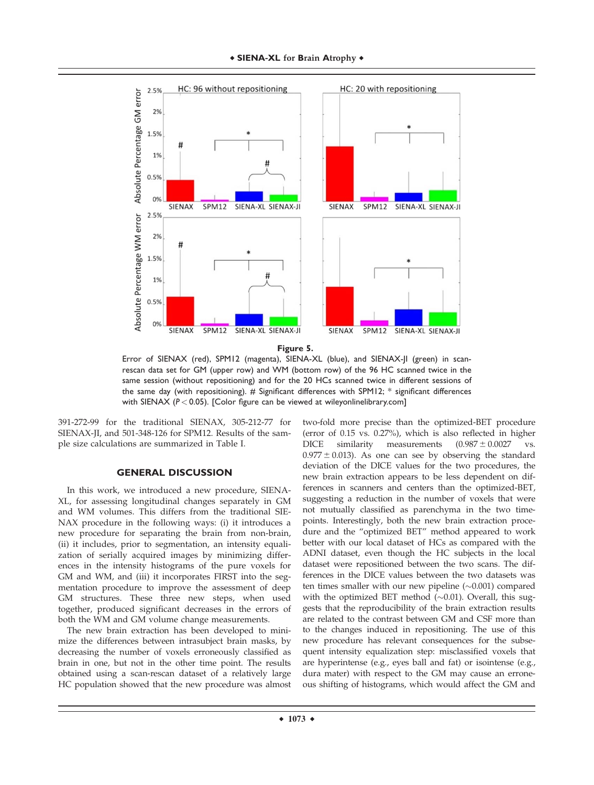

**Figure 5.**

Error of SIENAX (red), SPM12 (magenta), SIENA-XL (blue), and SIENAX-JI (green) in scanrescan data set for GM (upper row) and WM (bottom row) of the 96 HC scanned twice in the same session (without repositioning) and for the 20 HCs scanned twice in different sessions of the same day (with repositioning). # Significant differences with SPM12; \* significant differences with SIENAX (*P* < 0.05). [Color figure can be viewed at [wileyonlinelibrary.com](http://wileyonlinelibrary.com)]

391-272-99 for the traditional SIENAX, 305-212-77 for SIENAX-JI, and 501-348-126 for SPM12. Results of the sample size calculations are summarized in Table I.

# **GENERAL DISCUSSION**

In this work, we introduced a new procedure, SIENA-XL, for assessing longitudinal changes separately in GM and WM volumes. This differs from the traditional SIE-NAX procedure in the following ways: (i) it introduces a new procedure for separating the brain from non-brain, (ii) it includes, prior to segmentation, an intensity equalization of serially acquired images by minimizing differences in the intensity histograms of the pure voxels for GM and WM, and (iii) it incorporates FIRST into the segmentation procedure to improve the assessment of deep GM structures. These three new steps, when used together, produced significant decreases in the errors of both the WM and GM volume change measurements.

The new brain extraction has been developed to minimize the differences between intrasubject brain masks, by decreasing the number of voxels erroneously classified as brain in one, but not in the other time point. The results obtained using a scan-rescan dataset of a relatively large HC population showed that the new procedure was almost

two-fold more precise than the optimized-BET procedure (error of 0.15 vs. 0.27%), which is also reflected in higher DICE similarity measurements  $(0.987 \pm 0.0027$  vs.  $0.977 \pm 0.013$ ). As one can see by observing the standard deviation of the DICE values for the two procedures, the new brain extraction appears to be less dependent on differences in scanners and centers than the optimized-BET, suggesting a reduction in the number of voxels that were not mutually classified as parenchyma in the two timepoints. Interestingly, both the new brain extraction procedure and the "optimized BET" method appeared to work better with our local dataset of HCs as compared with the ADNI dataset, even though the HC subjects in the local dataset were repositioned between the two scans. The differences in the DICE values between the two datasets was ten times smaller with our new pipeline  $(\sim 0.001)$  compared with the optimized BET method  $(\sim 0.01)$ . Overall, this suggests that the reproducibility of the brain extraction results are related to the contrast between GM and CSF more than to the changes induced in repositioning. The use of this new procedure has relevant consequences for the subsequent intensity equalization step: misclassified voxels that are hyperintense (e.g., eyes ball and fat) or isointense (e.g., dura mater) with respect to the GM may cause an erroneous shifting of histograms, which would affect the GM and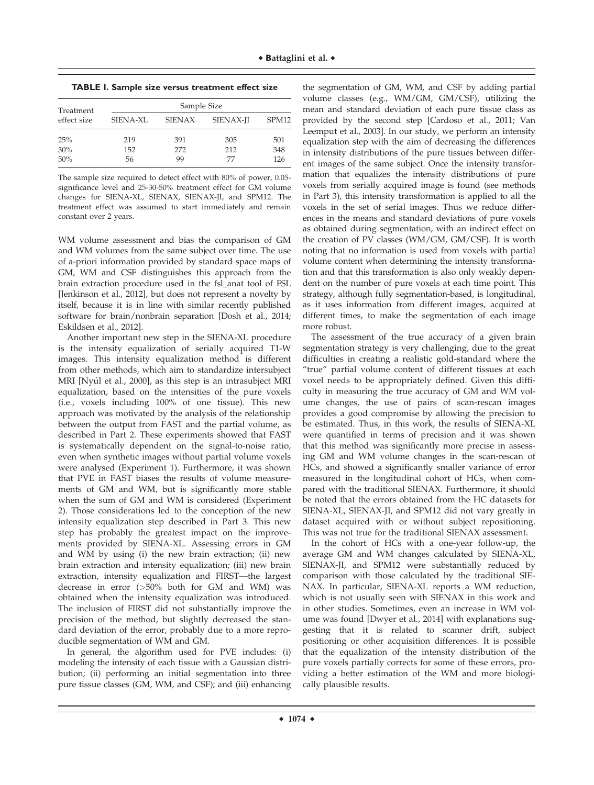**TABLE I. Sample size versus treatment effect size**

| Treatment<br>effect size | Sample Size     |               |           |                   |
|--------------------------|-----------------|---------------|-----------|-------------------|
|                          | <b>SIENA-XL</b> | <b>SIENAX</b> | SIENAX-JI | SPM <sub>12</sub> |
| 25%                      | 219             | 391           | 305       | 501               |
| 30%                      | 152             | 272           | 212       | 348               |
| 50%                      | 56              | 99            | 77        | 126               |

The sample size required to detect effect with 80% of power, 0.05 significance level and 25-30-50% treatment effect for GM volume changes for SIENA-XL, SIENAX, SIENAX-JI, and SPM12. The treatment effect was assumed to start immediately and remain constant over 2 years.

WM volume assessment and bias the comparison of GM and WM volumes from the same subject over time. The use of a-priori information provided by standard space maps of GM, WM and CSF distinguishes this approach from the brain extraction procedure used in the fsl\_anat tool of FSL [Jenkinson et al., 2012], but does not represent a novelty by itself, because it is in line with similar recently published software for brain/nonbrain separation [Dosh et al., 2014; Eskildsen et al., 2012].

Another important new step in the SIENA-XL procedure is the intensity equalization of serially acquired T1-W images. This intensity equalization method is different from other methods, which aim to standardize intersubject MRI [Nyúl et al., 2000], as this step is an intrasubject MRI equalization, based on the intensities of the pure voxels (i.e., voxels including 100% of one tissue). This new approach was motivated by the analysis of the relationship between the output from FAST and the partial volume, as described in Part 2. These experiments showed that FAST is systematically dependent on the signal-to-noise ratio, even when synthetic images without partial volume voxels were analysed (Experiment 1). Furthermore, it was shown that PVE in FAST biases the results of volume measurements of GM and WM, but is significantly more stable when the sum of GM and WM is considered (Experiment 2). Those considerations led to the conception of the new intensity equalization step described in Part 3. This new step has probably the greatest impact on the improvements provided by SIENA-XL. Assessing errors in GM and WM by using (i) the new brain extraction; (ii) new brain extraction and intensity equalization; (iii) new brain extraction, intensity equalization and FIRST—the largest decrease in error (>50% both for GM and WM) was obtained when the intensity equalization was introduced. The inclusion of FIRST did not substantially improve the precision of the method, but slightly decreased the standard deviation of the error, probably due to a more reproducible segmentation of WM and GM.

In general, the algorithm used for PVE includes: (i) modeling the intensity of each tissue with a Gaussian distribution; (ii) performing an initial segmentation into three pure tissue classes (GM, WM, and CSF); and (iii) enhancing

the segmentation of GM, WM, and CSF by adding partial volume classes (e.g., WM/GM, GM/CSF), utilizing the mean and standard deviation of each pure tissue class as provided by the second step [Cardoso et al., 2011; Van Leemput et al., 2003]. In our study, we perform an intensity equalization step with the aim of decreasing the differences in intensity distributions of the pure tissues between different images of the same subject. Once the intensity transformation that equalizes the intensity distributions of pure voxels from serially acquired image is found (see methods in Part 3), this intensity transformation is applied to all the voxels in the set of serial images. Thus we reduce differences in the means and standard deviations of pure voxels as obtained during segmentation, with an indirect effect on the creation of PV classes (WM/GM, GM/CSF). It is worth noting that no information is used from voxels with partial volume content when determining the intensity transformation and that this transformation is also only weakly dependent on the number of pure voxels at each time point. This strategy, although fully segmentation-based, is longitudinal, as it uses information from different images, acquired at different times, to make the segmentation of each image more robust.

The assessment of the true accuracy of a given brain segmentation strategy is very challenging, due to the great difficulties in creating a realistic gold-standard where the "true" partial volume content of different tissues at each voxel needs to be appropriately defined. Given this difficulty in measuring the true accuracy of GM and WM volume changes, the use of pairs of scan-rescan images provides a good compromise by allowing the precision to be estimated. Thus, in this work, the results of SIENA-XL were quantified in terms of precision and it was shown that this method was significantly more precise in assessing GM and WM volume changes in the scan-rescan of HCs, and showed a significantly smaller variance of error measured in the longitudinal cohort of HCs, when compared with the traditional SIENAX. Furthermore, it should be noted that the errors obtained from the HC datasets for SIENA-XL, SIENAX-JI, and SPM12 did not vary greatly in dataset acquired with or without subject repositioning. This was not true for the traditional SIENAX assessment.

In the cohort of HCs with a one-year follow-up, the average GM and WM changes calculated by SIENA-XL, SIENAX-JI, and SPM12 were substantially reduced by comparison with those calculated by the traditional SIE-NAX. In particular, SIENA-XL reports a WM reduction, which is not usually seen with SIENAX in this work and in other studies. Sometimes, even an increase in WM volume was found [Dwyer et al., 2014] with explanations suggesting that it is related to scanner drift, subject positioning or other acquisition differences. It is possible that the equalization of the intensity distribution of the pure voxels partially corrects for some of these errors, providing a better estimation of the WM and more biologically plausible results.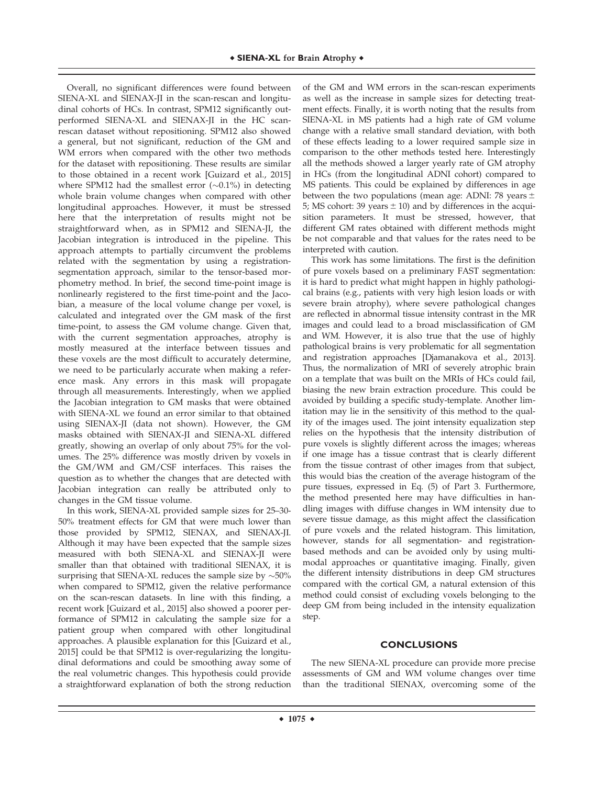Overall, no significant differences were found between SIENA-XL and SIENAX-JI in the scan-rescan and longitudinal cohorts of HCs. In contrast, SPM12 significantly outperformed SIENA-XL and SIENAX-JI in the HC scanrescan dataset without repositioning. SPM12 also showed a general, but not significant, reduction of the GM and WM errors when compared with the other two methods for the dataset with repositioning. These results are similar to those obtained in a recent work [Guizard et al., 2015] where SPM12 had the smallest error  $(\sim 0.1\%)$  in detecting whole brain volume changes when compared with other longitudinal approaches. However, it must be stressed here that the interpretation of results might not be straightforward when, as in SPM12 and SIENA-JI, the Jacobian integration is introduced in the pipeline. This approach attempts to partially circumvent the problems related with the segmentation by using a registrationsegmentation approach, similar to the tensor-based morphometry method. In brief, the second time-point image is nonlinearly registered to the first time-point and the Jacobian, a measure of the local volume change per voxel, is calculated and integrated over the GM mask of the first time-point, to assess the GM volume change. Given that, with the current segmentation approaches, atrophy is mostly measured at the interface between tissues and these voxels are the most difficult to accurately determine, we need to be particularly accurate when making a reference mask. Any errors in this mask will propagate through all measurements. Interestingly, when we applied the Jacobian integration to GM masks that were obtained with SIENA-XL we found an error similar to that obtained using SIENAX-JI (data not shown). However, the GM masks obtained with SIENAX-JI and SIENA-XL differed greatly, showing an overlap of only about 75% for the volumes. The 25% difference was mostly driven by voxels in the GM/WM and GM/CSF interfaces. This raises the question as to whether the changes that are detected with Jacobian integration can really be attributed only to changes in the GM tissue volume.

In this work, SIENA-XL provided sample sizes for 25–30- 50% treatment effects for GM that were much lower than those provided by SPM12, SIENAX, and SIENAX-JI. Although it may have been expected that the sample sizes measured with both SIENA-XL and SIENAX-JI were smaller than that obtained with traditional SIENAX, it is surprising that SIENA-XL reduces the sample size by  $\sim$  50% when compared to SPM12, given the relative performance on the scan-rescan datasets. In line with this finding, a recent work [Guizard et al., 2015] also showed a poorer performance of SPM12 in calculating the sample size for a patient group when compared with other longitudinal approaches. A plausible explanation for this [Guizard et al., 2015] could be that SPM12 is over-regularizing the longitudinal deformations and could be smoothing away some of the real volumetric changes. This hypothesis could provide a straightforward explanation of both the strong reduction

of the GM and WM errors in the scan-rescan experiments as well as the increase in sample sizes for detecting treatment effects. Finally, it is worth noting that the results from SIENA-XL in MS patients had a high rate of GM volume change with a relative small standard deviation, with both of these effects leading to a lower required sample size in comparison to the other methods tested here. Interestingly all the methods showed a larger yearly rate of GM atrophy in HCs (from the longitudinal ADNI cohort) compared to MS patients. This could be explained by differences in age between the two populations (mean age: ADNI: 78 years  $\pm$ 5; MS cohort: 39 years  $\pm$  10) and by differences in the acquisition parameters. It must be stressed, however, that different GM rates obtained with different methods might be not comparable and that values for the rates need to be interpreted with caution.

This work has some limitations. The first is the definition of pure voxels based on a preliminary FAST segmentation: it is hard to predict what might happen in highly pathological brains (e.g., patients with very high lesion loads or with severe brain atrophy), where severe pathological changes are reflected in abnormal tissue intensity contrast in the MR images and could lead to a broad misclassification of GM and WM. However, it is also true that the use of highly pathological brains is very problematic for all segmentation and registration approaches [Djamanakova et al., 2013]. Thus, the normalization of MRI of severely atrophic brain on a template that was built on the MRIs of HCs could fail, biasing the new brain extraction procedure. This could be avoided by building a specific study-template. Another limitation may lie in the sensitivity of this method to the quality of the images used. The joint intensity equalization step relies on the hypothesis that the intensity distribution of pure voxels is slightly different across the images; whereas if one image has a tissue contrast that is clearly different from the tissue contrast of other images from that subject, this would bias the creation of the average histogram of the pure tissues, expressed in Eq. (5) of Part 3. Furthermore, the method presented here may have difficulties in handling images with diffuse changes in WM intensity due to severe tissue damage, as this might affect the classification of pure voxels and the related histogram. This limitation, however, stands for all segmentation- and registrationbased methods and can be avoided only by using multimodal approaches or quantitative imaging. Finally, given the different intensity distributions in deep GM structures compared with the cortical GM, a natural extension of this method could consist of excluding voxels belonging to the deep GM from being included in the intensity equalization step.

#### **CONCLUSIONS**

The new SIENA-XL procedure can provide more precise assessments of GM and WM volume changes over time than the traditional SIENAX, overcoming some of the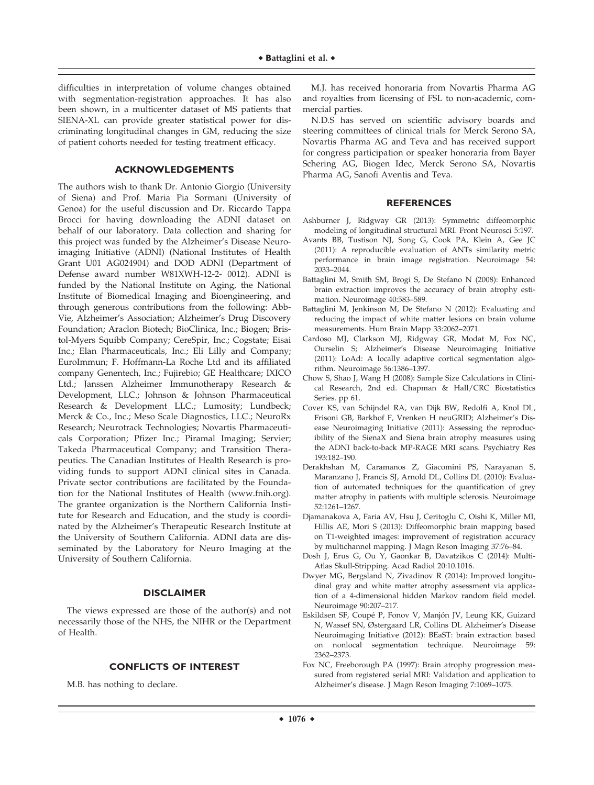difficulties in interpretation of volume changes obtained with segmentation-registration approaches. It has also been shown, in a multicenter dataset of MS patients that SIENA-XL can provide greater statistical power for discriminating longitudinal changes in GM, reducing the size of patient cohorts needed for testing treatment efficacy.

## **ACKNOWLEDGEMENTS**

The authors wish to thank Dr. Antonio Giorgio (University of Siena) and Prof. Maria Pia Sormani (University of Genoa) for the useful discussion and Dr. Riccardo Tappa Brocci for having downloading the ADNI dataset on behalf of our laboratory. Data collection and sharing for this project was funded by the Alzheimer's Disease Neuroimaging Initiative (ADNI) (National Institutes of Health Grant U01 AG024904) and DOD ADNI (Department of Defense award number W81XWH-12-2- 0012). ADNI is funded by the National Institute on Aging, the National Institute of Biomedical Imaging and Bioengineering, and through generous contributions from the following: Abb-Vie, Alzheimer's Association; Alzheimer's Drug Discovery Foundation; Araclon Biotech; BioClinica, Inc.; Biogen; Bristol-Myers Squibb Company; CereSpir, Inc.; Cogstate; Eisai Inc.; Elan Pharmaceuticals, Inc.; Eli Lilly and Company; EuroImmun; F. Hoffmann-La Roche Ltd and its affiliated company Genentech, Inc.; Fujirebio; GE Healthcare; IXICO Ltd.; Janssen Alzheimer Immunotherapy Research & Development, LLC.; Johnson & Johnson Pharmaceutical Research & Development LLC.; Lumosity; Lundbeck; Merck & Co., Inc.; Meso Scale Diagnostics, LLC.; NeuroRx Research; Neurotrack Technologies; Novartis Pharmaceuticals Corporation; Pfizer Inc.; Piramal Imaging; Servier; Takeda Pharmaceutical Company; and Transition Therapeutics. The Canadian Institutes of Health Research is providing funds to support ADNI clinical sites in Canada. Private sector contributions are facilitated by the Foundation for the National Institutes of Health (www.fnih.org). The grantee organization is the Northern California Institute for Research and Education, and the study is coordinated by the Alzheimer's Therapeutic Research Institute at the University of Southern California. ADNI data are disseminated by the Laboratory for Neuro Imaging at the University of Southern California.

## **DISCLAIMER**

The views expressed are those of the author(s) and not necessarily those of the NHS, the NIHR or the Department of Health.

# **CONFLICTS OF INTEREST**

M.B. has nothing to declare.

M.J. has received honoraria from Novartis Pharma AG and royalties from licensing of FSL to non-academic, commercial parties.

N.D.S has served on scientific advisory boards and steering committees of clinical trials for Merck Serono SA, Novartis Pharma AG and Teva and has received support for congress participation or speaker honoraria from Bayer Schering AG, Biogen Idec, Merck Serono SA, Novartis Pharma AG, Sanofi Aventis and Teva.

#### **REFERENCES**

- Ashburner J, Ridgway GR (2013): Symmetric diffeomorphic modeling of longitudinal structural MRI. Front Neurosci 5:197.
- Avants BB, Tustison NJ, Song G, Cook PA, Klein A, Gee JC (2011): A reproducible evaluation of ANTs similarity metric performance in brain image registration. Neuroimage 54: 2033–2044.
- Battaglini M, Smith SM, Brogi S, De Stefano N (2008): Enhanced brain extraction improves the accuracy of brain atrophy estimation. Neuroimage 40:583–589.
- Battaglini M, Jenkinson M, De Stefano N (2012): Evaluating and reducing the impact of white matter lesions on brain volume measurements. Hum Brain Mapp 33:2062–2071.
- Cardoso MJ, Clarkson MJ, Ridgway GR, Modat M, Fox NC, Ourselin S; Alzheimer's Disease Neuroimaging Initiative (2011): LoAd: A locally adaptive cortical segmentation algorithm. Neuroimage 56:1386–1397.
- Chow S, Shao J, Wang H (2008): Sample Size Calculations in Clinical Research, 2nd ed. Chapman & Hall/CRC Biostatistics Series. pp 61.
- Cover KS, van Schijndel RA, van Dijk BW, Redolfi A, Knol DL, Frisoni GB, Barkhof F, Vrenken H neuGRID; Alzheimer's Disease Neuroimaging Initiative (2011): Assessing the reproducibility of the SienaX and Siena brain atrophy measures using the ADNI back-to-back MP-RAGE MRI scans. Psychiatry Res 193:182–190.
- Derakhshan M, Caramanos Z, Giacomini PS, Narayanan S, Maranzano J, Francis SJ, Arnold DL, Collins DL (2010): Evaluation of automated techniques for the quantification of grey matter atrophy in patients with multiple sclerosis. Neuroimage 52:1261–1267.
- Djamanakova A, Faria AV, Hsu J, Ceritoglu C, Oishi K, Miller MI, Hillis AE, Mori S (2013): Diffeomorphic brain mapping based on T1-weighted images: improvement of registration accuracy by multichannel mapping. J Magn Reson Imaging 37:76–84.
- Dosh J, Erus G, Ou Y, Gaonkar B, Davatzikos C (2014): Multi-Atlas Skull-Stripping. Acad Radiol 20:10.1016.
- Dwyer MG, Bergsland N, Zivadinov R (2014): Improved longitudinal gray and white matter atrophy assessment via application of a 4-dimensional hidden Markov random field model. Neuroimage 90:207–217.
- Eskildsen SF, Coupé P, Fonov V, Manjón JV, Leung KK, Guizard N, Wassef SN, Østergaard LR, Collins DL Alzheimer's Disease Neuroimaging Initiative (2012): BEaST: brain extraction based on nonlocal segmentation technique. Neuroimage 59: 2362–2373.
- Fox NC, Freeborough PA (1997): Brain atrophy progression measured from registered serial MRI: Validation and application to Alzheimer's disease. J Magn Reson Imaging 7:1069–1075.

 $\div$  1076  $\div$